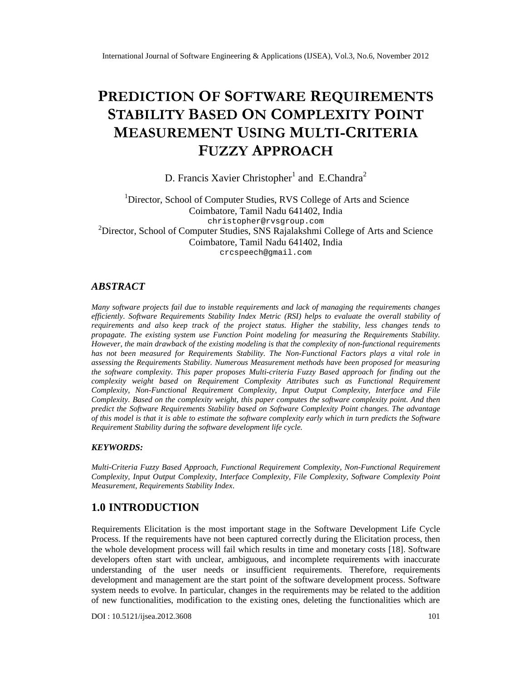# PREDICTION SOFTWARE QUIREMENTS  $STABILLI$ TBASEDONCOMPLEXITPOINT MEASUREMENTSTINGMULTHCRITERIA FUZZYAPPROACH

# D. Francis Xavier Christopheand E.Chandra

<sup>1</sup>Director, School of Computer Studies, RVS College of Arts and Science Coimbatore, Tamil Nadu 641402, India [christopher@rvsgroup.com](mailto:christopher@rvsgroup.com) <sup>2</sup>Director, School of Computer Studies, SNS Rajalakshmi College of Arts and Science Coimbatore, Tamil Nadu 641402, India [crcspeech@gmail.com](mailto:crcspeech@gmail.com)

# ABSTRACT

Many softwae projects fail due to instable requirements and lack of managing the requirements changes efficiently. Software Requirements Stability Index Metric (RSI) helps to evaluate the overall stability of requirementsand also keep track of the project status Higher the stability, less changestends to propagate. The existing systemuse Function Point modeling for measuring the Requirements Stability. However, the main drawback of the existing modeling is that complexity of nofunctional requirements has not been measured for Requirements Stabillitie Non-Functional Factors plays a vital role in assessing the Requirements Stability merous Measurement methods have been proposed for measuring the software complexity  $\overline{T}$ his paper propose Multi-criteria Fuzzy Based approach for findingut the complexity weight based on Requirement Complexity Attributes ch as Functional Requirement Complexity, NorFunctiona Requirement Complexity, Input uput Complexity, Interface and File Complexity Based orthe complexty weight, this paper compute the softwarecomplexity point. And then predict the SoftwareRequirement Stability based onSoftwareComplexity Point changes he advantage of this model is that it is able testimate the software complexity early which i turn predicts the Software Requirement Stabilitduring the software development life cycle.

# KEYWORDS:

Multi-Criteria Fuzzy Based Approach unctional Requirement Complexity, Nonnational Requirement Complexity, Input Otput Complexity, Interface Coplexity, File ComplexitySoftwareComplexity Point MeasurementRequirements Stability Index

# 1.0 INTRODUCTION

Requirements Elicitationis the most important stage in the Software Development Life Cycle Process. If the requirements have not been captured ctly during the Elicitation process, then the whole development process will fail ich results in time and monetary costs. Software developers often start with unclear, ambiguous, and incomplete requirements with inaccurate understanding of theuser needs or insufficient requirements herefore, requirements development and management are the start point of the software development **Sraftware** system needs to evolve. In particular, changes in the requirements may be related to the addition of new functionalities, modification to the existing ones, deleting the functionalities which are

DOI : 10.5121/ijsea.2012.3**6**0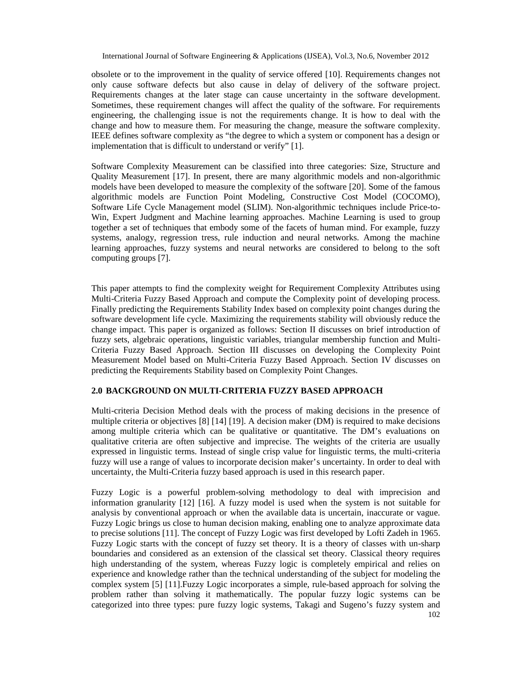obsolete or to the improvement in the quality of service offered [10]. Requirements changes not only cause software defects but also cause in delay of delivery of the software project. Requirements changes at the later stage can cause uncertainty in the software development. Sometimes, these requirement changes will affect the quality of the software. For requirements engineering, the challenging issue is not the requirements change. It is how to deal with the change and how to measure them. For measuring the change, measure the software complexity. IEEE defines software complexity as "the degree to which a system or component has a design or implementation that is difficult to understand or verify" [1].

Software Complexity Measurement can be classified into three categories: Size, Structure and Quality Measurement [17]. In present, there are many algorithmic models and non-algorithmic models have been developed to measure the complexity of the software [20]. Some of the famous algorithmic models are Function Point Modeling, Constructive Cost Model (COCOMO), Software Life Cycle Management model (SLIM). Non-algorithmic techniques include Price-to-Win, Expert Judgment and Machine learning approaches. Machine Learning is used to group together a set of techniques that embody some of the facets of human mind. For example, fuzzy systems, analogy, regression tress, rule induction and neural networks. Among the machine learning approaches, fuzzy systems and neural networks are considered to belong to the soft computing groups [7].

This paper attempts to find the complexity weight for Requirement Complexity Attributes using Multi-Criteria Fuzzy Based Approach and compute the Complexity point of developing process. Finally predicting the Requirements Stability Index based on complexity point changes during the software development life cycle. Maximizing the requirements stability will obviously reduce the change impact. This paper is organized as follows: Section II discusses on brief introduction of fuzzy sets, algebraic operations, linguistic variables, triangular membership function and Multi-Criteria Fuzzy Based Approach. Section III discusses on developing the Complexity Point Measurement Model based on Multi-Criteria Fuzzy Based Approach. Section IV discusses on predicting the Requirements Stability based on Complexity Point Changes.

## **2.0 BACKGROUND ON MULTI-CRITERIA FUZZY BASED APPROACH**

Multi-criteria Decision Method deals with the process of making decisions in the presence of multiple criteria or objectives [8] [14] [19]. A decision maker (DM) is required to make decisions among multiple criteria which can be qualitative or quantitative. The DM's evaluations on qualitative criteria are often subjective and imprecise. The weights of the criteria are usually expressed in linguistic terms. Instead of single crisp value for linguistic terms, the multi-criteria fuzzy will use a range of values to incorporate decision maker's uncertainty. In order to deal with uncertainty, the Multi-Criteria fuzzy based approach is used in this research paper.

Fuzzy Logic is a powerful problem-solving methodology to deal with imprecision and information granularity [12] [16]. A fuzzy model is used when the system is not suitable for analysis by conventional approach or when the available data is uncertain, inaccurate or vague. Fuzzy Logic brings us close to human decision making, enabling one to analyze approximate data to precise solutions [11]. The concept of Fuzzy Logic was first developed by Lofti Zadeh in 1965. Fuzzy Logic starts with the concept of fuzzy set theory. It is a theory of classes with un-sharp boundaries and considered as an extension of the classical set theory. Classical theory requires high understanding of the system, whereas Fuzzy logic is completely empirical and relies on experience and knowledge rather than the technical understanding of the subject for modeling the complex system [5] [11].Fuzzy Logic incorporates a simple, rule-based approach for solving the problem rather than solving it mathematically. The popular fuzzy logic systems can be categorized into three types: pure fuzzy logic systems, Takagi and Sugeno's fuzzy system and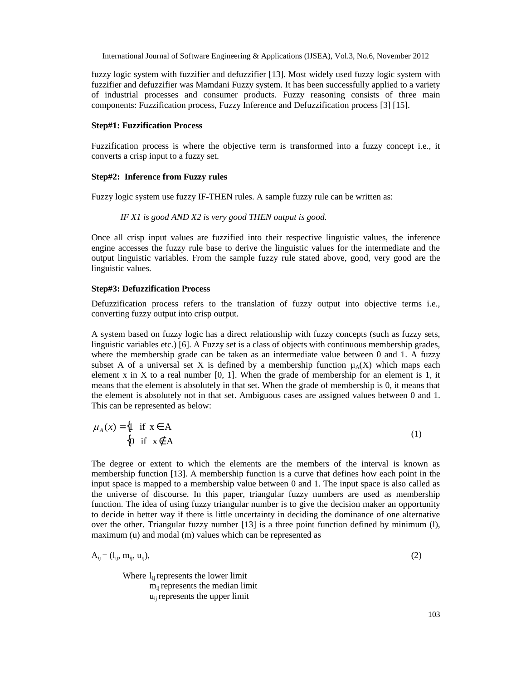fuzzy logic system with fuzzifier and defuzzifier [13]. Most widely used fuzzy logic system with fuzzifier and defuzzifier was Mamdani Fuzzy system. It has been successfully applied to a variety of industrial processes and consumer products. Fuzzy reasoning consists of three main components: Fuzzification process, Fuzzy Inference and Defuzzification process [3] [15].

#### **Step#1: Fuzzification Process**

Fuzzification process is where the objective term is transformed into a fuzzy concept i.e., it converts a crisp input to a fuzzy set.

#### **Step#2: Inference from Fuzzy rules**

Fuzzy logic system use fuzzy IF-THEN rules. A sample fuzzy rule can be written as:

#### *IF X1 is good AND X2 is very good THEN output is good.*

Once all crisp input values are fuzzified into their respective linguistic values, the inference engine accesses the fuzzy rule base to derive the linguistic values for the intermediate and the output linguistic variables. From the sample fuzzy rule stated above, good, very good are the linguistic values.

#### **Step#3: Defuzzification Process**

Defuzzification process refers to the translation of fuzzy output into objective terms i.e., converting fuzzy output into crisp output.

A system based on fuzzy logic has a direct relationship with fuzzy concepts (such as fuzzy sets, linguistic variables etc.) [6]. A Fuzzy set is a class of objects with continuous membership grades, where the membership grade can be taken as an intermediate value between 0 and 1. A fuzzy subset A of a universal set X is defined by a membership function  $\mu_A(X)$  which maps each element x in X to a real number  $[0, 1]$ . When the grade of membership for an element is 1, it means that the element is absolutely in that set. When the grade of membership is 0, it means that the element is absolutely not in that set. Ambiguous cases are assigned values between 0 and 1. This can be represented as below:

$$
\mu_A(x) = \begin{cases} 1 & \text{if } x \in A \\ 0 & \text{if } x \notin A \end{cases}
$$
 (1)

The degree or extent to which the elements are the members of the interval is known as membership function [13]. A membership function is a curve that defines how each point in the input space is mapped to a membership value between 0 and 1. The input space is also called as the universe of discourse. In this paper, triangular fuzzy numbers are used as membership function. The idea of using fuzzy triangular number is to give the decision maker an opportunity to decide in better way if there is little uncertainty in deciding the dominance of one alternative over the other. Triangular fuzzy number [13] is a three point function defined by minimum (l), maximum (u) and modal (m) values which can be represented as

$$
A_{ij} = (l_{ij}, m_{ij}, u_{ij}), \qquad (2)
$$

Where  $l_{ii}$  represents the lower limit mijrepresents the median limit  $u_{ii}$  represents the upper limit

103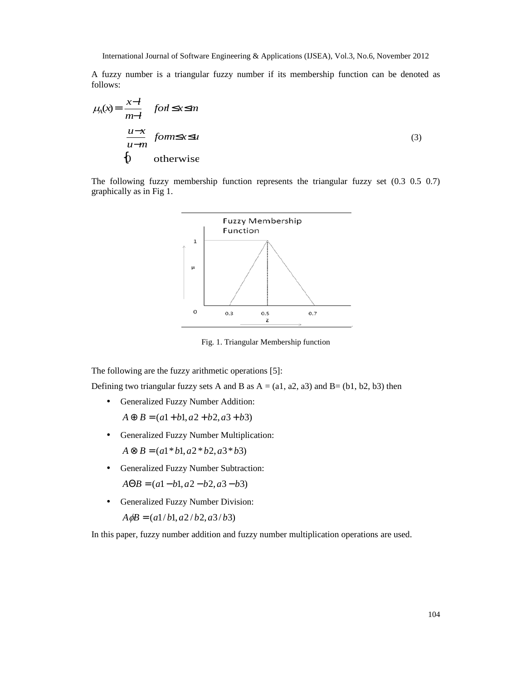A fuzzy number is a triangular fuzzy number if its membership function can be denoted as follows:

$$
\mu_{A}(x) = \begin{cases}\n\frac{x - l}{m - l} & \text{for } l \leq x \leq m \\
\frac{u - x}{u - m} & \text{for } m \leq x \leq u\n\end{cases}
$$
\n(3)\n
$$
\begin{cases}\n0 & \text{otherwise}\n\end{cases}
$$

The following fuzzy membership function represents the triangular fuzzy set (0.3 0.5 0.7) graphically as in Fig 1.



Fig. 1. Triangular Membership function

The following are the fuzzy arithmetic operations [5]:

Defining two triangular fuzzy sets A and B as  $A = (a1, a2, a3)$  and  $B = (b1, b2, b3)$  then

• Generalized Fuzzy Number Addition:

 $A \oplus B = (a1 + b1, a2 + b2, a3 + b3)$ 

• Generalized Fuzzy Number Multiplication:

 $A \otimes B = (a1 * b1, a2 * b2, a3 * b3)$ 

• Generalized Fuzzy Number Subtraction:  $A\Theta B = (a1 - b1, a2 - b2, a3 - b3)$ 

• Generalized Fuzzy Number Division:

 $A \phi B = (a1/b1, a2/b2, a3/b3)$ 

In this paper, fuzzy number addition and fuzzy number multiplication operations are used.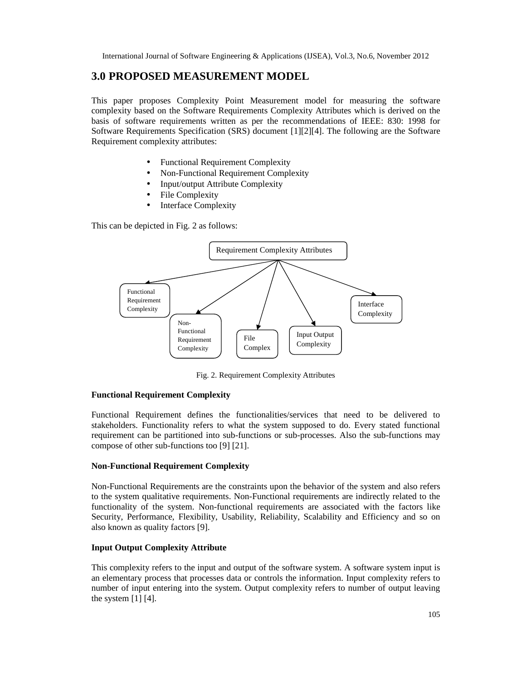# **3.0 PROPOSED MEASUREMENT MODEL**

This paper proposes Complexity Point Measurement model for measuring the software complexity based on the Software Requirements Complexity Attributes which is derived on the basis of software requirements written as per the recommendations of IEEE: 830: 1998 for Software Requirements Specification (SRS) document [1][2][4]. The following are the Software Requirement complexity attributes:

- Functional Requirement Complexity
- Non-Functional Requirement Complexity
- Input/output Attribute Complexity
- File Complexity
- **Interface Complexity**

This can be depicted in Fig. 2 as follows:



Fig. 2. Requirement Complexity Attributes

#### **Functional Requirement Complexity**

Functional Requirement defines the functionalities/services that need to be delivered to stakeholders. Functionality refers to what the system supposed to do. Every stated functional requirement can be partitioned into sub-functions or sub-processes. Also the sub-functions may compose of other sub-functions too [9] [21].

# **Non-Functional Requirement Complexity**

Non-Functional Requirements are the constraints upon the behavior of the system and also refers to the system qualitative requirements. Non-Functional requirements are indirectly related to the functionality of the system. Non-functional requirements are associated with the factors like Security, Performance, Flexibility, Usability, Reliability, Scalability and Efficiency and so on also known as quality factors [9].

# **Input Output Complexity Attribute**

This complexity refers to the input and output of the software system. A software system input is an elementary process that processes data or controls the information. Input complexity refers to number of input entering into the system. Output complexity refers to number of output leaving the system  $[1] [4]$ .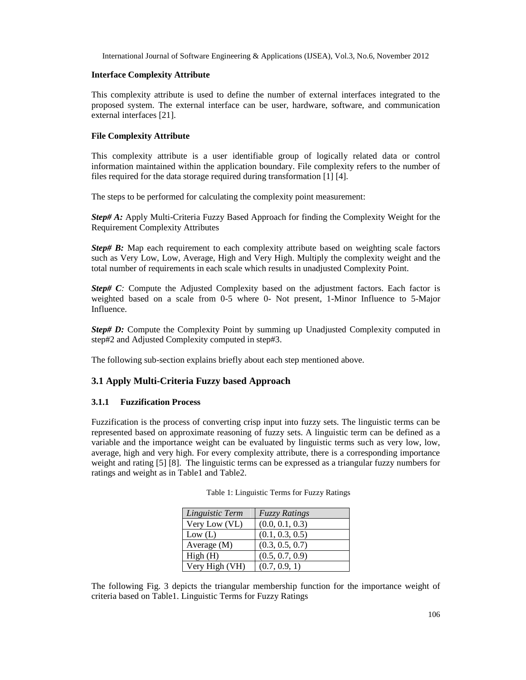### **Interface Complexity Attribute**

This complexity attribute is used to define the number of external interfaces integrated to the proposed system. The external interface can be user, hardware, software, and communication external interfaces [21].

# **File Complexity Attribute**

This complexity attribute is a user identifiable group of logically related data or control information maintained within the application boundary. File complexity refers to the number of files required for the data storage required during transformation [1] [4].

The steps to be performed for calculating the complexity point measurement:

*Step# A:* Apply Multi-Criteria Fuzzy Based Approach for finding the Complexity Weight for the Requirement Complexity Attributes

*Step# B:* Map each requirement to each complexity attribute based on weighting scale factors such as Very Low, Low, Average, High and Very High. Multiply the complexity weight and the total number of requirements in each scale which results in unadjusted Complexity Point.

*Step# C:* Compute the Adjusted Complexity based on the adjustment factors. Each factor is weighted based on a scale from 0-5 where 0- Not present, 1-Minor Influence to 5-Major Influence.

*Step# D:* Compute the Complexity Point by summing up Unadjusted Complexity computed in step#2 and Adjusted Complexity computed in step#3.

The following sub-section explains briefly about each step mentioned above.

# **3.1 Apply Multi-Criteria Fuzzy based Approach**

# **3.1.1 Fuzzification Process**

Fuzzification is the process of converting crisp input into fuzzy sets. The linguistic terms can be represented based on approximate reasoning of fuzzy sets. A linguistic term can be defined as a variable and the importance weight can be evaluated by linguistic terms such as very low, low, average, high and very high. For every complexity attribute, there is a corresponding importance weight and rating [5] [8]. The linguistic terms can be expressed as a triangular fuzzy numbers for ratings and weight as in Table1 and Table2.

| Linguistic Term | <b>Fuzzy Ratings</b> |
|-----------------|----------------------|
| Very Low (VL)   | (0.0, 0.1, 0.3)      |
| Low (L)         | (0.1, 0.3, 0.5)      |
| Average (M)     | (0.3, 0.5, 0.7)      |
| High(H)         | (0.5, 0.7, 0.9)      |
| Very High (VH)  | (0.7, 0.9, 1)        |

Table 1: Linguistic Terms for Fuzzy Ratings

The following Fig. 3 depicts the triangular membership function for the importance weight of criteria based on Table1. Linguistic Terms for Fuzzy Ratings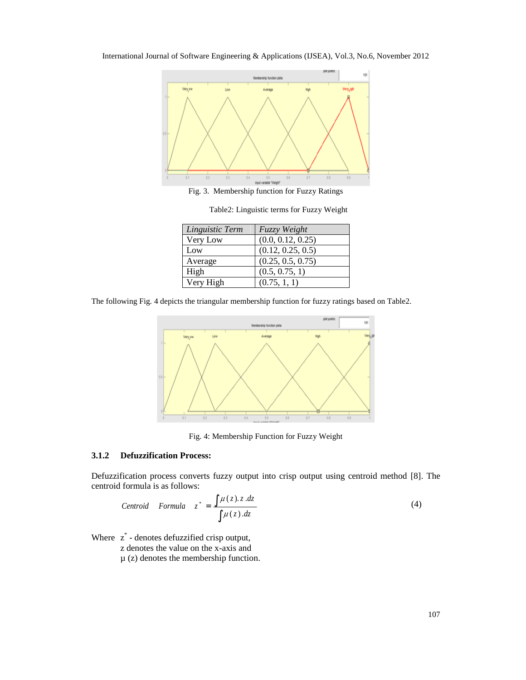



Fig. 3. Membership function for Fuzzy Ratings

| Linguistic Term | Fuzzy Weight      |
|-----------------|-------------------|
| Very Low        | (0.0, 0.12, 0.25) |
| Low             | (0.12, 0.25, 0.5) |
| Average         | (0.25, 0.5, 0.75) |
| High            | (0.5, 0.75, 1)    |
| Very High       | (0.75, 1, 1)      |

Table2: Linguistic terms for Fuzzy Weight

The following Fig. 4 depicts the triangular membership function for fuzzy ratings based on Table2.



Fig. 4: Membership Function for Fuzzy Weight

#### **3.1.2 Defuzzification Process:**

Defuzzification process converts fuzzy output into crisp output using centroid method [8]. The centroid formula is as follows:

$$
Centroid \quad Formula \quad z^* = \frac{\int \mu(z).z.dz}{\int \mu(z).dz} \tag{4}
$$

Where  $z^*$  - denotes defuzzified crisp output,

z denotes the value on the x-axis and

 $\mu$  (z) denotes the membership function.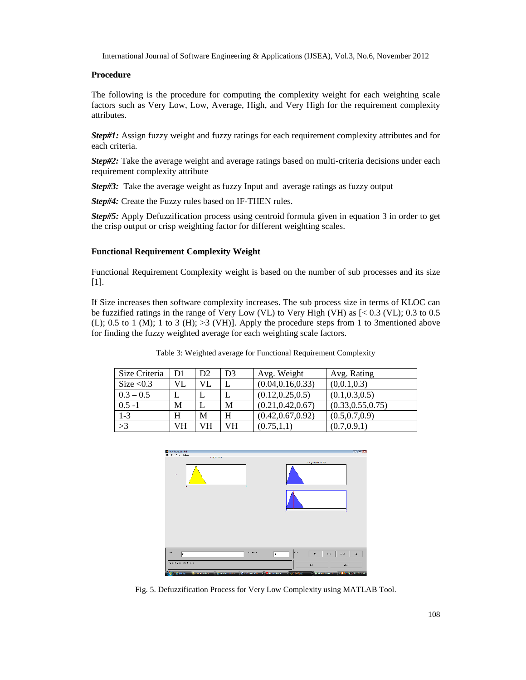## **Procedure**

The following is the procedure for computing the complexity weight for each weighting scale factors such as Very Low, Low, Average, High, and Very High for the requirement complexity attributes.

*Step#1:* Assign fuzzy weight and fuzzy ratings for each requirement complexity attributes and for each criteria.

*Step#2:* Take the average weight and average ratings based on multi-criteria decisions under each requirement complexity attribute

*Step#3:* Take the average weight as fuzzy Input and average ratings as fuzzy output

*Step#4:* Create the Fuzzy rules based on IF-THEN rules.

*Step#5:* Apply Defuzzification process using centroid formula given in equation 3 in order to get the crisp output or crisp weighting factor for different weighting scales.

# **Functional Requirement Complexity Weight**

Functional Requirement Complexity weight is based on the number of sub processes and its size [1].

If Size increases then software complexity increases. The sub process size in terms of KLOC can be fuzzified ratings in the range of Very Low (VL) to Very High (VH) as [< 0.3 (VL); 0.3 to 0.5 (L); 0.5 to 1 (M); 1 to 3 (H);  $>3$  (VH)]. Apply the procedure steps from 1 to 3mentioned above for finding the fuzzy weighted average for each weighting scale factors.

|  |  | Table 3: Weighted average for Functional Requirement Complexity |  |
|--|--|-----------------------------------------------------------------|--|
|  |  |                                                                 |  |

| Size Criteria           | D1 | D <sub>2</sub> | D <sub>3</sub> | Avg. Weight        | Avg. Rating        |
|-------------------------|----|----------------|----------------|--------------------|--------------------|
| Size $< 0.3$            | VL | <b>VL</b>      |                | (0.04, 0.16, 0.33) | (0,0.1,0.3)        |
| $0.3 - 0.5$             |    |                | L              | (0.12, 0.25, 0.5)  | (0.1, 0.3, 0.5)    |
| $0.5 - 1$               | M  |                | M              | (0.21, 0.42, 0.67) | (0.33, 0.55, 0.75) |
| $1 - 3$                 | H  | M              | H              | (0.42, 0.67, 0.92) | (0.5, 0.7, 0.9)    |
| $\overline{\smash{>}}3$ | VH | VН             | VH             | (0.75, 1, 1)       | (0.7, 0.9, 1)      |



Fig. 5. Defuzzification Process for Very Low Complexity using MATLAB Tool.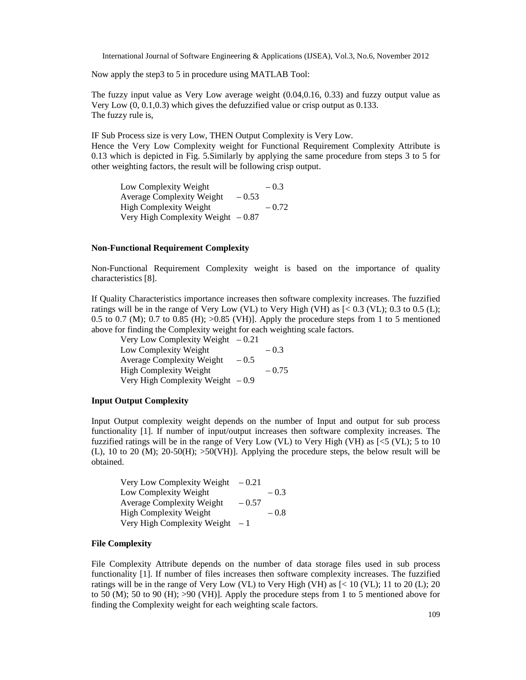Now apply the step3 to 5 in procedure using MATLAB Tool:

The fuzzy input value as Very Low average weight (0.04,0.16, 0.33) and fuzzy output value as Very Low (0, 0.1,0.3) which gives the defuzzified value or crisp output as 0.133. The fuzzy rule is,

IF Sub Process size is very Low, THEN Output Complexity is Very Low. Hence the Very Low Complexity weight for Functional Requirement Complexity Attribute is 0.13 which is depicted in Fig. 5.Similarly by applying the same procedure from steps 3 to 5 for other weighting factors, the result will be following crisp output.

Low Complexity Weight  $-0.3$ Average Complexity Weight  $-0.53$ High Complexity Weight  $-0.72$ Very High Complexity Weight  $-0.87$ 

# **Non-Functional Requirement Complexity**

Non-Functional Requirement Complexity weight is based on the importance of quality characteristics [8].

If Quality Characteristics importance increases then software complexity increases. The fuzzified ratings will be in the range of Very Low (VL) to Very High (VH) as [< 0.3 (VL); 0.3 to 0.5 (L); 0.5 to 0.7 (M); 0.7 to 0.85 (H);  $>0.85$  (VH)]. Apply the procedure steps from 1 to 5 mentioned above for finding the Complexity weight for each weighting scale factors.

Very Low Complexity Weight  $-0.21$ Low Complexity Weight  $-0.3$ Average Complexity Weight  $-0.5$ High Complexity Weight  $-0.75$ Very High Complexity Weight  $-0.9$ 

#### **Input Output Complexity**

Input Output complexity weight depends on the number of Input and output for sub process functionality [1]. If number of input/output increases then software complexity increases. The fuzzified ratings will be in the range of Very Low (VL) to Very High (VH) as  $\leq$  (VL); 5 to 10 (L), 10 to 20 (M); 20-50(H); >50(VH)]. Applying the procedure steps, the below result will be obtained.

Very Low Complexity Weight  $-0.21$ Low Complexity Weight  $-0.3$ Average Complexity Weight  $-0.57$ High Complexity Weight  $-0.8$ Very High Complexity Weight  $-1$ 

#### **File Complexity**

File Complexity Attribute depends on the number of data storage files used in sub process functionality [1]. If number of files increases then software complexity increases. The fuzzified ratings will be in the range of Very Low (VL) to Very High (VH) as [< 10 (VL); 11 to 20 (L); 20 to 50 (M); 50 to 90 (H);  $>90$  (VH)]. Apply the procedure steps from 1 to 5 mentioned above for finding the Complexity weight for each weighting scale factors.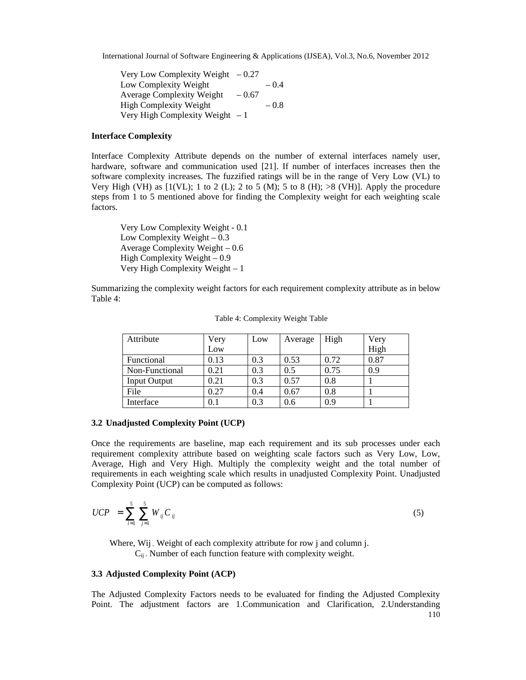Very Low Complexity Weight  $-0.27$ Low Complexity Weight  $-0.4$ Average Complexity Weight  $-0.67$ High Complexity Weight  $-0.8$ Very High Complexity Weight  $-1$ 

### **Interface Complexity**

Interface Complexity Attribute depends on the number of external interfaces namely user, hardware, software and communication used [21]. If number of interfaces increases then the software complexity increases. The fuzzified ratings will be in the range of Very Low (VL) to Very High (VH) as  $[1(VL); 1$  to 2 (L); 2 to 5 (M); 5 to 8 (H);  $>8$  (VH)]. Apply the procedure steps from 1 to 5 mentioned above for finding the Complexity weight for each weighting scale factors.

Very Low Complexity Weight - 0.1 Low Complexity Weight – 0.3 Average Complexity Weight – 0.6 High Complexity Weight  $-0.9$ Very High Complexity Weight – 1

Summarizing the complexity weight factors for each requirement complexity attribute as in below Table 4:

| Attribute           | Very | Low | Average | High | Very |
|---------------------|------|-----|---------|------|------|
|                     | Low  |     |         |      | High |
| Functional          | 0.13 | 0.3 | 0.53    | 0.72 | 0.87 |
| Non-Functional      | 0.21 | 0.3 | 0.5     | 0.75 | 0.9  |
| <b>Input Output</b> | 0.21 | 0.3 | 0.57    | 0.8  |      |
| File                | 0.27 | 0.4 | 0.67    | 0.8  |      |
| Interface           | 0.1  | 0.3 | 0.6     | 0.9  |      |

Table 4: Complexity Weight Table

#### **3.2 Unadjusted Complexity Point (UCP)**

Once the requirements are baseline, map each requirement and its sub processes under each requirement complexity attribute based on weighting scale factors such as Very Low, Low, Average, High and Very High. Multiply the complexity weight and the total number of requirements in each weighting scale which results in unadjusted Complexity Point. Unadjusted Complexity Point (UCP) can be computed as follows:

$$
UCP = \sum_{i=1}^{5} \sum_{j=1}^{5} W_{ij} C_{ij}
$$
 (5)

Where, Wij . Weight of each complexity attribute for row j and column j.  $C_{ii}$ . Number of each function feature with complexity weight.

### **3.3 Adjusted Complexity Point (ACP)**

The Adjusted Complexity Factors needs to be evaluated for finding the Adjusted Complexity Point. The adjustment factors are 1.Communication and Clarification, 2.Understanding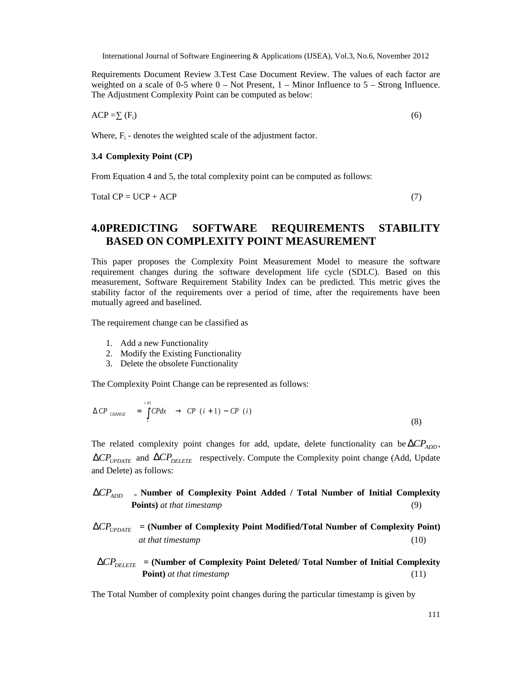Requirements Document Review 3.Test Case Document Review. The values of each factor are weighted on a scale of 0-5 where  $0 - Not$  Present,  $1 - Minor$  Influence to  $5 - Strong$  Influence. The Adjustment Complexity Point can be computed as below:

 $ACP = (F_i)$  (6)

Where,  $F_i$  - denotes the weighted scale of the adjustment factor.

#### **3.4 Complexity Point (CP)**

From Equation 4 and 5, the total complexity point can be computed as follows:

 $Total CP = UCP + ACP$  (7)

# **4.0PREDICTING SOFTWARE REQUIREMENTS STABILITY BASED ON COMPLEXITY POINT MEASUREMENT**

This paper proposes the Complexity Point Measurement Model to measure the software requirement changes during the software development life cycle (SDLC). Based on this measurement, Software Requirement Stability Index can be predicted. This metric gives the stability factor of the requirements over a period of time, after the requirements have been mutually agreed and baselined.

The requirement change can be classified as

- 1. Add a new Functionality
- 2. Modify the Existing Functionality
- 3. Delete the obsolete Functionality

The Complexity Point Change can be represented as follows:

$$
\Delta CP_{CHANCE} = \int_{i}^{i+1} CPdx \rightarrow CP(i+1) - CP(i)
$$
\n(8)

The related complexity point changes for add, update, delete functionality can be  $\Delta CP_{ADD}$ , ∆*CPUPDATE* and ∆*CPDELETE* respectively. Compute the Complexity point change (Add, Update and Delete) as follows:

# ∆*CPADD* **<sup>=</sup> Number of Complexity Point Added / Total Number of Initial Complexity Points)** *at that timestamp* (9)

∆*CPUPDATE* **= (Number of Complexity Point Modified/Total Number of Complexity Point)** *at that timestamp* (10)

$$
\Delta CP_{DELETE} = (\text{Number of Complexity Point Deleted/ Total Number of Initial Complexity } \text{Point}) at that timestamp \tag{11}
$$

The Total Number of complexity point changes during the particular timestamp is given by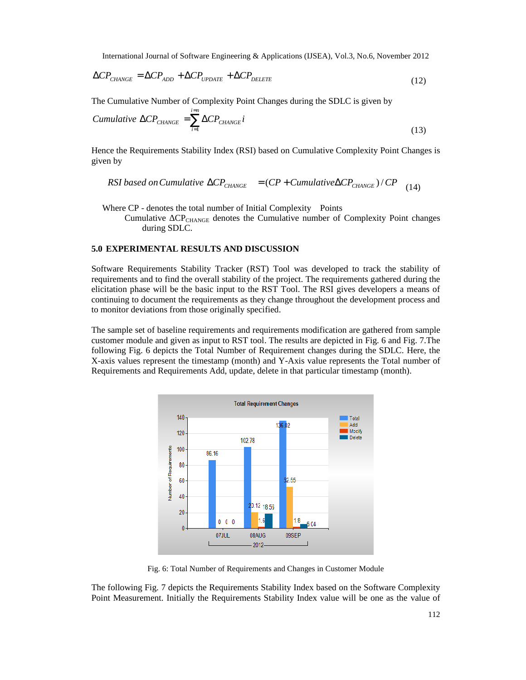$$
\Delta CP_{\text{CHANGE}} = \Delta CP_{\text{ADD}} + \Delta CP_{\text{UPDATE}} + \Delta CP_{\text{DELETE}} \tag{12}
$$

The Cumulative Number of Complexity Point Changes during the SDLC is given by

$$
Cumulative \ \Delta CP_{CHANGE} = \sum_{i=1}^{i=n} \Delta CP_{CHANCE} i \tag{13}
$$

Hence the Requirements Stability Index (RSI) based on Cumulative Complexity Point Changes is given by

RSI based on Cumulative 
$$
\Delta CP_{\text{CHANGE}} = (CP + Cumulative \Delta CP_{\text{CHANGE}})/CP
$$
 (14)

Where CP - denotes the total number of Initial Complexity Points

Cumulative CP<sub>CHANGE</sub> denotes the Cumulative number of Complexity Point changes during SDLC.

### **5.0 EXPERIMENTAL RESULTS AND DISCUSSION**

Software Requirements Stability Tracker (RST) Tool was developed to track the stability of requirements and to find the overall stability of the project. The requirements gathered during the elicitation phase will be the basic input to the RST Tool. The RSI gives developers a means of continuing to document the requirements as they change throughout the development process and to monitor deviations from those originally specified.

The sample set of baseline requirements and requirements modification are gathered from sample customer module and given as input to RST tool. The results are depicted in Fig. 6 and Fig. 7.The following Fig. 6 depicts the Total Number of Requirement changes during the SDLC. Here, the X-axis values represent the timestamp (month) and Y-Axis value represents the Total number of Requirements and Requirements Add, update, delete in that particular timestamp (month).



Fig. 6: Total Number of Requirements and Changes in Customer Module

The following Fig. 7 depicts the Requirements Stability Index based on the Software Complexity Point Measurement. Initially the Requirements Stability Index value will be one as the value of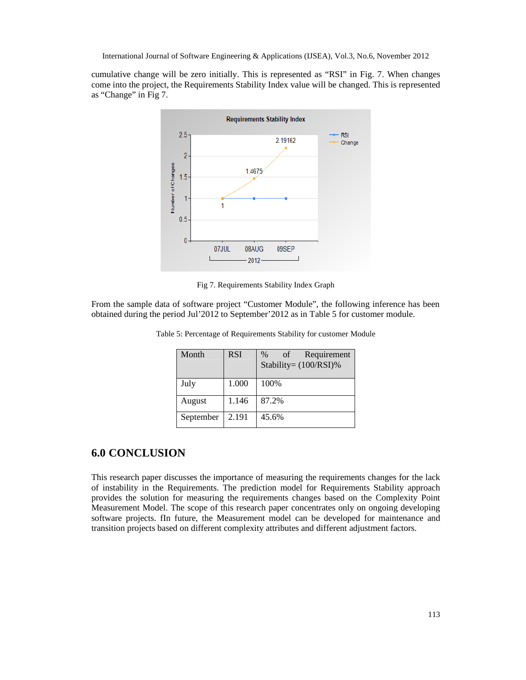cumulative change will be zero initially. This is represented as "RSI" in Fig. 7. When changes come into the project, the Requirements Stability Index value will be changed. This is represented as "Change" in Fig 7.



Fig 7. Requirements Stability Index Graph

From the sample data of software project "Customer Module", the following inference has been obtained during the period Jul'2012 to September'2012 as in Table 5 for customer module.

| Month     | <b>RSI</b> | Requirement<br>of<br>$\%$<br>Stability= $(100/RSI)\%$ |
|-----------|------------|-------------------------------------------------------|
| July      | 1.000      | 100%                                                  |
| August    | 1.146      | 87.2%                                                 |
| September | 2.191      | 45.6%                                                 |

Table 5: Percentage of Requirements Stability for customer Module

# **6.0 CONCLUSION**

This research paper discusses the importance of measuring the requirements changes for the lack of instability in the Requirements. The prediction model for Requirements Stability approach provides the solution for measuring the requirements changes based on the Complexity Point Measurement Model. The scope of this research paper concentrates only on ongoing developing software projects. fIn future, the Measurement model can be developed for maintenance and transition projects based on different complexity attributes and different adjustment factors.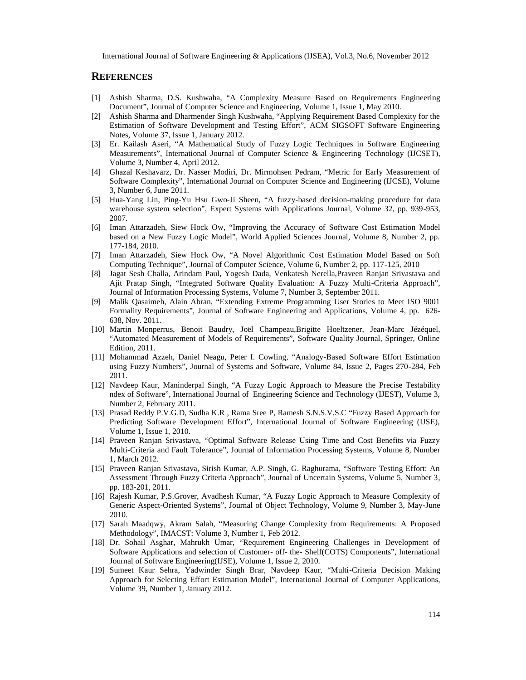# **REFERENCES**

- [1] Ashish Sharma, D.S. Kushwaha, "A Complexity Measure Based on Requirements Engineering Document", Journal of Computer Science and Engineering, Volume 1, Issue 1, May 2010.
- [2] Ashish Sharma and Dharmender Singh Kushwaha, "Applying Requirement Based Complexity for the Estimation of Software Development and Testing Effort", ACM SIGSOFT Software Engineering Notes, Volume 37, Issue 1, January 2012.
- [3] Er. Kailash Aseri, "A Mathematical Study of Fuzzy Logic Techniques in Software Engineering Measurements", International Journal of Computer Science & Engineering Technology (IJCSET), Volume 3, Number 4, April 2012.
- [4] Ghazal Keshavarz, Dr. Nasser Modiri, Dr. Mirmohsen Pedram, "Metric for Early Measurement of Software Complexity", International Journal on Computer Science and Engineering (IJCSE), Volume 3, Number 6, June 2011.
- [5] Hua-Yang Lin, Ping-Yu Hsu Gwo-Ji Sheen, "A fuzzy-based decision-making procedure for data warehouse system selection", Expert Systems with Applications Journal, Volume 32, pp. 939-953, 2007.
- [6] Iman Attarzadeh, Siew Hock Ow, "Improving the Accuracy of Software Cost Estimation Model based on a New Fuzzy Logic Model", World Applied Sciences Journal, Volume 8, Number 2, pp. 177-184, 2010.
- [7] Iman Attarzadeh, Siew Hock Ow, "A Novel Algorithmic Cost Estimation Model Based on Soft Computing Technique", Journal of Computer Science, Volume 6, Number 2, pp. 117-125, 2010
- [8] Jagat Sesh Challa, Arindam Paul, Yogesh Dada, Venkatesh Nerella,Praveen Ranjan Srivastava and Ajit Pratap Singh, "Integrated Software Quality Evaluation: A Fuzzy Multi-Criteria Approach", Journal of Information Processing Systems, Volume 7, Number 3, September 2011.
- [9] Malik Qasaimeh, Alain Abran, "Extending Extreme Programming User Stories to Meet ISO 9001 Formality Requirements", Journal of Software Engineering and Applications, Volume 4, pp. 626- 638, Nov. 2011.
- [10] Martin Monperrus, Benoit Baudry, Joël Champeau,Brigitte Hoeltzener, Jean-Marc Jézéquel, "Automated Measurement of Models of Requirements", Software Quality Journal, Springer, Online Edition, 2011.
- [11] Mohammad Azzeh, Daniel Neagu, Peter I. Cowling, "Analogy-Based Software Effort Estimation using Fuzzy Numbers", Journal of Systems and Software, Volume 84, Issue 2, Pages 270-284, Feb 2011.
- [12] Navdeep Kaur, Maninderpal Singh, "A Fuzzy Logic Approach to Measure the Precise Testability ndex of Software", International Journal of Engineering Science and Technology (IJEST), Volume 3, Number 2, February 2011.
- [13] Prasad Reddy P.V.G.D, Sudha K.R , Rama Sree P, Ramesh S.N.S.V.S.C "Fuzzy Based Approach for Predicting Software Development Effort", International Journal of Software Engineering (IJSE), Volume 1, Issue 1, 2010.
- [14] Praveen Ranjan Srivastava, "Optimal Software Release Using Time and Cost Benefits via Fuzzy Multi-Criteria and Fault Tolerance", Journal of Information Processing Systems, Volume 8, Number 1, March 2012.
- [15] Praveen Ranjan Srivastava, Sirish Kumar, A.P. Singh, G. Raghurama, "Software Testing Effort: An Assessment Through Fuzzy Criteria Approach", Journal of Uncertain Systems, Volume 5, Number 3, pp. 183-201, 2011.
- [16] Rajesh Kumar, P.S.Grover, Avadhesh Kumar, "A Fuzzy Logic Approach to Measure Complexity of Generic Aspect-Oriented Systems", Journal of Object Technology, Volume 9, Number 3, May-June 2010.
- [17] Sarah Maadqwy, Akram Salah, "Measuring Change Complexity from Requirements: A Proposed Methodology", IMACST: Volume 3, Number 1, Feb 2012.
- [18] Dr. Sohail Asghar, Mahrukh Umar, "Requirement Engineering Challenges in Development of Software Applications and selection of Customer- off- the- Shelf(COTS) Components", International Journal of Software Engineering(IJSE), Volume 1, Issue 2, 2010.
- [19] Sumeet Kaur Sehra, Yadwinder Singh Brar, Navdeep Kaur, "Multi-Criteria Decision Making Approach for Selecting Effort Estimation Model", International Journal of Computer Applications, Volume 39, Number 1, January 2012.